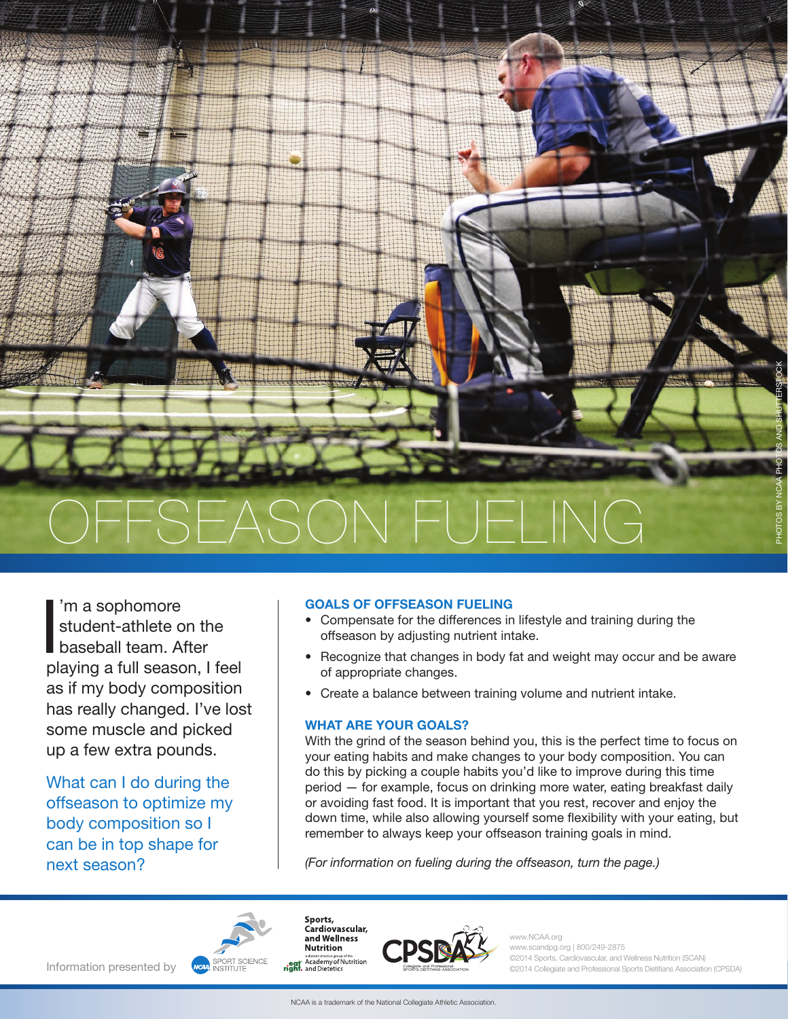

**I** 'm a sophomore student-athlete on the baseball team. After playing a full season, I feel as if my body composition has really changed. I've lost some muscle and picked up a few extra pounds.

What can I do during the offseason to optimize my body composition so I can be in top shape for next season?

### GOALS OF OFFSEASON FUELING

- Compensate for the differences in lifestyle and training during the offseason by adjusting nutrient intake.
- Recognize that changes in body fat and weight may occur and be aware of appropriate changes.
- Create a balance between training volume and nutrient intake.

## WHAT ARE YOUR GOALS?

With the grind of the season behind you, this is the perfect time to focus on your eating habits and make changes to your body composition. You can do this by picking a couple habits you'd like to improve during this time period — for example, focus on drinking more water, eating breakfast daily or avoiding fast food. It is important that you rest, recover and enjoy the down time, while also allowing yourself some flexibility with your eating, but remember to always keep your offseason training goals in mind.

*(For information on fueling during the offseason, turn the page.)*







www.NCAA.org w.scandpg.org | 800/249-2875 ©2014 Sports, Cardiovascular, and Wellness Nutrition (SCAN) ©2014 Collegiate and Professional Sports Dietitians Association (CPSDA)